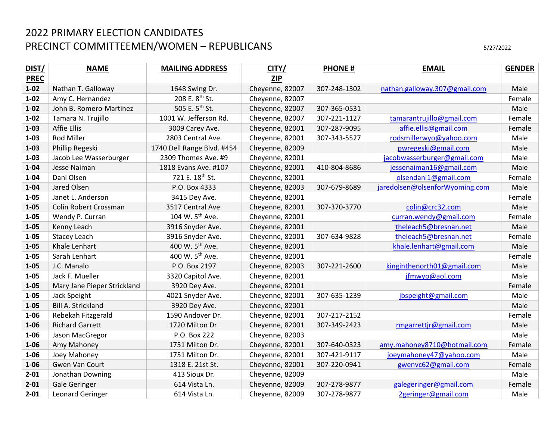| DIST/       | <b>NAME</b>                 | <b>MAILING ADDRESS</b>      | CITY/           | <b>PHONE#</b> | <b>EMAIL</b>                   | <b>GENDER</b> |
|-------------|-----------------------------|-----------------------------|-----------------|---------------|--------------------------------|---------------|
| <b>PREC</b> |                             |                             | <b>ZIP</b>      |               |                                |               |
| $1 - 02$    | Nathan T. Galloway          | 1648 Swing Dr.              | Cheyenne, 82007 | 307-248-1302  | nathan.galloway.307@gmail.com  | Male          |
| $1 - 02$    | Amy C. Hernandez            | 208 E. 8 <sup>th</sup> St.  | Cheyenne, 82007 |               |                                | Female        |
| $1 - 02$    | John B. Romero-Martinez     | 505 E. 5 <sup>th</sup> St.  | Cheyenne, 82007 | 307-365-0531  |                                | Male          |
| $1 - 02$    | Tamara N. Trujillo          | 1001 W. Jefferson Rd.       | Cheyenne, 82007 | 307-221-1127  | tamarantrujillo@gmail.com      | Female        |
| $1 - 03$    | <b>Affie Ellis</b>          | 3009 Carey Ave.             | Cheyenne, 82001 | 307-287-9095  | affie.ellis@gmail.com          | Female        |
| $1 - 03$    | <b>Rod Miller</b>           | 2803 Central Ave.           | Cheyenne, 82001 | 307-343-5527  | rodsmillerwyo@yahoo.com        | Male          |
| $1 - 03$    | Phillip Regeski             | 1740 Dell Range Blvd. #454  | Cheyenne, 82009 |               | pwregeski@gmail.com            | Male          |
| $1 - 03$    | Jacob Lee Wasserburger      | 2309 Thomes Ave. #9         | Cheyenne, 82001 |               | jacobwasserburger@gmail.com    | Male          |
| $1 - 04$    | Jesse Naiman                | 1818 Evans Ave. #107        | Cheyenne, 82001 | 410-804-8686  | jessenaiman16@gmail.com        | Male          |
| $1 - 04$    | Dani Olsen                  | 721 E. 18 <sup>th</sup> St. | Cheyenne, 82001 |               | olsendani1@gmail.com           | Female        |
| $1 - 04$    | Jared Olsen                 | P.O. Box 4333               | Cheyenne, 82003 | 307-679-8689  | jaredolsen@olsenforWyoming.com | Male          |
| $1 - 05$    | Janet L. Anderson           | 3415 Dey Ave.               | Cheyenne, 82001 |               |                                | Female        |
| $1 - 05$    | Colin Robert Crossman       | 3517 Central Ave.           | Cheyenne, 82001 | 307-370-3770  | colin@crc32.com                | Male          |
| $1 - 05$    | Wendy P. Curran             | 104 W. 5 <sup>th</sup> Ave. | Cheyenne, 82001 |               | curran.wendy@gmail.com         | Female        |
| $1 - 05$    | Kenny Leach                 | 3916 Snyder Ave.            | Cheyenne, 82001 |               | theleach5@bresnan.net          | Male          |
| $1 - 05$    | Stacey Leach                | 3916 Snyder Ave.            | Cheyenne, 82001 | 307-634-9828  | theleach5@bresnan.net          | Female        |
| $1 - 05$    | Khale Lenhart               | 400 W. 5 <sup>th</sup> Ave. | Cheyenne, 82001 |               | khale.lenhart@gmail.com        | Male          |
| $1 - 05$    | Sarah Lenhart               | 400 W. 5 <sup>th</sup> Ave. | Cheyenne, 82001 |               |                                | Female        |
| $1 - 05$    | J.C. Manalo                 | P.O. Box 2197               | Cheyenne, 82003 | 307-221-2600  | kinginthenorth01@gmail.com     | Male          |
| $1 - 05$    | Jack F. Mueller             | 3320 Capitol Ave.           | Cheyenne, 82001 |               | jfmwyo@aol.com                 | Male          |
| $1 - 05$    | Mary Jane Pieper Strickland | 3920 Dey Ave.               | Cheyenne, 82001 |               |                                | Female        |
| $1 - 05$    | Jack Speight                | 4021 Snyder Ave.            | Cheyenne, 82001 | 307-635-1239  | jbspeight@gmail.com            | Male          |
| $1 - 05$    | Bill A. Strickland          | 3920 Dey Ave.               | Cheyenne, 82001 |               |                                | Male          |
| $1 - 06$    | Rebekah Fitzgerald          | 1590 Andover Dr.            | Cheyenne, 82001 | 307-217-2152  |                                | Female        |
| $1 - 06$    | <b>Richard Garrett</b>      | 1720 Milton Dr.             | Cheyenne, 82001 | 307-349-2423  | rmgarrettjr@gmail.com          | Male          |
| $1 - 06$    | Jason MacGregor             | P.O. Box 222                | Cheyenne, 82003 |               |                                | Male          |
| $1 - 06$    | Amy Mahoney                 | 1751 Milton Dr.             | Cheyenne, 82001 | 307-640-0323  | amy.mahoney8710@hotmail.com    | Female        |
| $1 - 06$    | Joey Mahoney                | 1751 Milton Dr.             | Cheyenne, 82001 | 307-421-9117  | joeymahoney47@yahoo.com        | Male          |
| $1 - 06$    | Gwen Van Court              | 1318 E. 21st St.            | Cheyenne, 82001 | 307-220-0941  | gwenvc62@gmail.com             | Female        |
| $2 - 01$    | Jonathan Downing            | 413 Sioux Dr.               | Cheyenne, 82009 |               |                                | Male          |
| $2 - 01$    | <b>Gale Geringer</b>        | 614 Vista Ln.               | Cheyenne, 82009 | 307-278-9877  | galegeringer@gmail.com         | Female        |
| $2 - 01$    | Leonard Geringer            | 614 Vista Ln.               | Cheyenne, 82009 | 307-278-9877  | 2geringer@gmail.com            | Male          |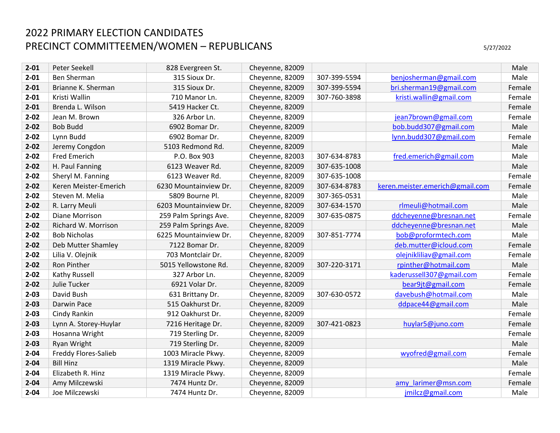| $2 - 01$ | Peter Seekell               | 828 Evergreen St.     | Cheyenne, 82009 |              |                                 | Male   |
|----------|-----------------------------|-----------------------|-----------------|--------------|---------------------------------|--------|
| $2 - 01$ | Ben Sherman                 | 315 Sioux Dr.         | Cheyenne, 82009 | 307-399-5594 | benjosherman@gmail.com          | Male   |
| $2 - 01$ | Brianne K. Sherman          | 315 Sioux Dr.         | Cheyenne, 82009 | 307-399-5594 | bri.sherman19@gmail.com         | Female |
| $2 - 01$ | Kristi Wallin               | 710 Manor Ln.         | Cheyenne, 82009 | 307-760-3898 | kristi.wallin@gmail.com         | Female |
| $2 - 01$ | Brenda L. Wilson            | 5419 Hacker Ct.       | Cheyenne, 82009 |              |                                 | Female |
| $2 - 02$ | Jean M. Brown               | 326 Arbor Ln.         | Cheyenne, 82009 |              | jean7brown@gmail.com            | Female |
| $2 - 02$ | <b>Bob Budd</b>             | 6902 Bomar Dr.        | Cheyenne, 82009 |              | bob.budd307@gmail.com           | Male   |
| $2 - 02$ | Lynn Budd                   | 6902 Bomar Dr.        | Cheyenne, 82009 |              | lynn.budd307@gmail.com          | Female |
| $2 - 02$ | Jeremy Congdon              | 5103 Redmond Rd.      | Cheyenne, 82009 |              |                                 | Male   |
| $2 - 02$ | <b>Fred Emerich</b>         | P.O. Box 903          | Cheyenne, 82003 | 307-634-8783 | fred.emerich@gmail.com          | Male   |
| $2 - 02$ | H. Paul Fanning             | 6123 Weaver Rd.       | Cheyenne, 82009 | 307-635-1008 |                                 | Male   |
| $2 - 02$ | Sheryl M. Fanning           | 6123 Weaver Rd.       | Cheyenne, 82009 | 307-635-1008 |                                 | Female |
| $2 - 02$ | Keren Meister-Emerich       | 6230 Mountainview Dr. | Cheyenne, 82009 | 307-634-8783 | keren.meister.emerich@gmail.com | Female |
| $2 - 02$ | Steven M. Melia             | 5809 Bourne Pl.       | Cheyenne, 82009 | 307-365-0531 |                                 | Male   |
| $2 - 02$ | R. Larry Meuli              | 6203 Mountainview Dr. | Cheyenne, 82009 | 307-634-1570 | rlmeuli@hotmail.com             | Male   |
| $2 - 02$ | Diane Morrison              | 259 Palm Springs Ave. | Cheyenne, 82009 | 307-635-0875 | ddcheyenne@bresnan.net          | Female |
| $2 - 02$ | Richard W. Morrison         | 259 Palm Springs Ave. | Cheyenne, 82009 |              | ddcheyenne@bresnan.net          | Male   |
| $2 - 02$ | <b>Bob Nicholas</b>         | 6225 Mountainview Dr. | Cheyenne, 82009 | 307-851-7774 | bob@proformtech.com             | Male   |
| $2 - 02$ | Deb Mutter Shamley          | 7122 Bomar Dr.        | Cheyenne, 82009 |              | deb.mutter@icloud.com           | Female |
| $2 - 02$ | Lilia V. Olejnik            | 703 Montclair Dr.     | Cheyenne, 82009 |              | olejnikliliav@gmail.com         | Female |
| $2 - 02$ | Ron Pinther                 | 5015 Yellowstone Rd.  | Cheyenne, 82009 | 307-220-3171 | rpinther@hotmail.com            | Male   |
| $2 - 02$ | Kathy Russell               | 327 Arbor Ln.         | Cheyenne, 82009 |              | kaderussell307@gmail.com        | Female |
| $2 - 02$ | Julie Tucker                | 6921 Volar Dr.        | Cheyenne, 82009 |              | bear9jt@gmail.com               | Female |
| $2 - 03$ | David Bush                  | 631 Brittany Dr.      | Cheyenne, 82009 | 307-630-0572 | davebush@hotmail.com            | Male   |
| $2 - 03$ | Darwin Pace                 | 515 Oakhurst Dr.      | Cheyenne, 82009 |              | ddpace44@gmail.com              | Male   |
| $2 - 03$ | Cindy Rankin                | 912 Oakhurst Dr.      | Cheyenne, 82009 |              |                                 | Female |
| $2 - 03$ | Lynn A. Storey-Huylar       | 7216 Heritage Dr.     | Cheyenne, 82009 | 307-421-0823 | huylar5@juno.com                | Female |
| $2 - 03$ | Hosanna Wright              | 719 Sterling Dr.      | Cheyenne, 82009 |              |                                 | Female |
| $2 - 03$ | Ryan Wright                 | 719 Sterling Dr.      | Cheyenne, 82009 |              |                                 | Male   |
| $2 - 04$ | <b>Freddy Flores-Salieb</b> | 1003 Miracle Pkwy.    | Cheyenne, 82009 |              | wyofred@gmail.com               | Female |
| $2 - 04$ | <b>Bill Hinz</b>            | 1319 Miracle Pkwy.    | Cheyenne, 82009 |              |                                 | Male   |
| $2 - 04$ | Elizabeth R. Hinz           | 1319 Miracle Pkwy.    | Cheyenne, 82009 |              |                                 | Female |
| $2 - 04$ | Amy Milczewski              | 7474 Huntz Dr.        | Cheyenne, 82009 |              | amy larimer@msn.com             | Female |
| $2 - 04$ | Joe Milczewski              | 7474 Huntz Dr.        | Cheyenne, 82009 |              | jmilcz@gmail.com                | Male   |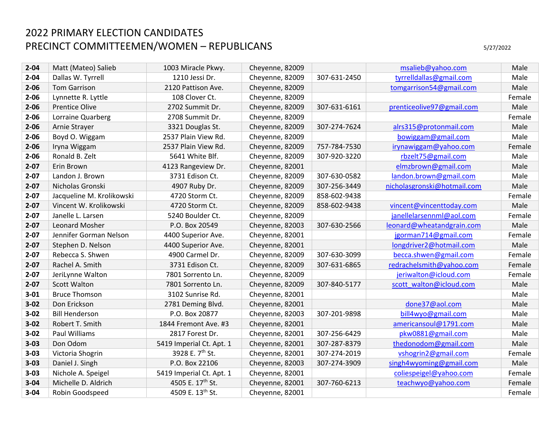**3‐04** 

**3‐04** 

| $2 - 04$ | Matt (Mateo) Salieb       | 1003 Miracle Pkwy.          | Cheyenne, 82009 |              | msalieb@yahoo.com           | Male   |
|----------|---------------------------|-----------------------------|-----------------|--------------|-----------------------------|--------|
| $2 - 04$ | Dallas W. Tyrrell         | 1210 Jessi Dr.              | Cheyenne, 82009 | 307-631-2450 | tyrrelldallas@gmail.com     | Male   |
| $2 - 06$ | <b>Tom Garrison</b>       | 2120 Pattison Ave.          | Cheyenne, 82009 |              | tomgarrison54@gmail.com     | Male   |
| $2 - 06$ | Lynnette R. Lyttle        | 108 Clover Ct.              | Cheyenne, 82009 |              |                             | Female |
| $2 - 06$ | <b>Prentice Olive</b>     | 2702 Summit Dr.             | Cheyenne, 82009 | 307-631-6161 | prenticeolive97@gmail.com   | Male   |
| $2 - 06$ | Lorraine Quarberg         | 2708 Summit Dr.             | Cheyenne, 82009 |              |                             | Female |
| $2 - 06$ | Arnie Strayer             | 3321 Douglas St.            | Cheyenne, 82009 | 307-274-7624 | alrs315@protonmail.com      | Male   |
| $2 - 06$ | Boyd O. Wiggam            | 2537 Plain View Rd.         | Cheyenne, 82009 |              | bowiggam@gmail.com          | Male   |
| $2 - 06$ | Iryna Wiggam              | 2537 Plain View Rd.         | Cheyenne, 82009 | 757-784-7530 | irynawiggam@yahoo.com       | Female |
| $2 - 06$ | Ronald B. Zelt            | 5641 White Blf.             | Cheyenne, 82009 | 307-920-3220 | rbzelt75@gmail.com          | Male   |
| $2 - 07$ | Erin Brown                | 4123 Rangeview Dr.          | Cheyenne, 82001 |              | elmzbrown@gmail.com         | Male   |
| $2 - 07$ | Landon J. Brown           | 3731 Edison Ct.             | Cheyenne, 82009 | 307-630-0582 | landon.brown@gmail.com      | Male   |
| $2 - 07$ | Nicholas Gronski          | 4907 Ruby Dr.               | Cheyenne, 82009 | 307-256-3449 | nicholasgronski@hotmail.com | Male   |
| $2 - 07$ | Jacqueline M. Krolikowski | 4720 Storm Ct.              | Cheyenne, 82009 | 858-602-9438 |                             | Female |
| $2 - 07$ | Vincent W. Krolikowski    | 4720 Storm Ct.              | Cheyenne, 82009 | 858-602-9438 | vincent@vincenttoday.com    | Male   |
| $2 - 07$ | Janelle L. Larsen         | 5240 Boulder Ct.            | Cheyenne, 82009 |              | janellelarsennml@aol.com    | Female |
| $2 - 07$ | Leonard Mosher            | P.O. Box 20549              | Cheyenne, 82003 | 307-630-2566 | leonard@wheatandgrain.com   | Male   |
| $2 - 07$ | Jennifer Gorman Nelson    | 4400 Superior Ave.          | Cheyenne, 82001 |              | jgorman714@gmail.com        | Female |
| $2 - 07$ | Stephen D. Nelson         | 4400 Superior Ave.          | Cheyenne, 82001 |              | longdriver2@hotmail.com     | Male   |
| $2 - 07$ | Rebecca S. Shwen          | 4900 Carmel Dr.             | Cheyenne, 82009 | 307-630-3099 | becca.shwen@gmail.com       | Female |
| $2 - 07$ | Rachel A. Smith           | 3731 Edison Ct.             | Cheyenne, 82009 | 307-631-6865 | redrachelsmith@yahoo.com    | Female |
| $2 - 07$ | JeriLynne Walton          | 7801 Sorrento Ln.           | Cheyenne, 82009 |              | jeriwalton@icloud.com       | Female |
| $2 - 07$ | <b>Scott Walton</b>       | 7801 Sorrento Ln.           | Cheyenne, 82009 | 307-840-5177 | scott walton@icloud.com     | Male   |
| $3 - 01$ | <b>Bruce Thomson</b>      | 3102 Sunrise Rd.            | Cheyenne, 82001 |              |                             | Male   |
| $3 - 02$ | Don Erickson              | 2781 Deming Blvd.           | Cheyenne, 82001 |              | done37@aol.com              | Male   |
| $3 - 02$ | <b>Bill Henderson</b>     | P.O. Box 20877              | Cheyenne, 82003 | 307-201-9898 | bill4wyo@gmail.com          | Male   |
| $3 - 02$ | Robert T. Smith           | 1844 Fremont Ave. #3        | Cheyenne, 82001 |              | americansoul@1791.com       | Male   |
| $3 - 02$ | Paul Williams             | 2817 Forest Dr.             | Cheyenne, 82001 | 307-256-6429 | pkw0881@gmail.com           | Male   |
| $3 - 03$ | Don Odom                  | 5419 Imperial Ct. Apt. 1    | Cheyenne, 82001 | 307-287-8379 | thedonodom@gmail.com        | Male   |
| $3 - 03$ | Victoria Shogrin          | 3928 E. 7 <sup>th</sup> St. | Cheyenne, 82001 | 307-274-2019 | vshogrin2@gmail.com         | Female |
| $3 - 03$ | Daniel J. Singh           | P.O. Box 22106              | Cheyenne, 82003 | 307-274-3909 | singh4wyoming@gmail.com     | Male   |
| $3 - 03$ | Nichole A. Speigel        | 5419 Imperial Ct. Apt. 1    | Cheyenne, 82001 |              | coliespeigel@yahoo.com      | Female |

Michelle D. Aldrich **1505 E. 17<sup>th</sup> St.** Cheyenne, 82001 307-760-6213 teachwyo@yahoo.com Female

Robin Goodspeed 4509 E. 13<sup>th</sup> St. Cheyenne, 82001 **19th St. Accords** Female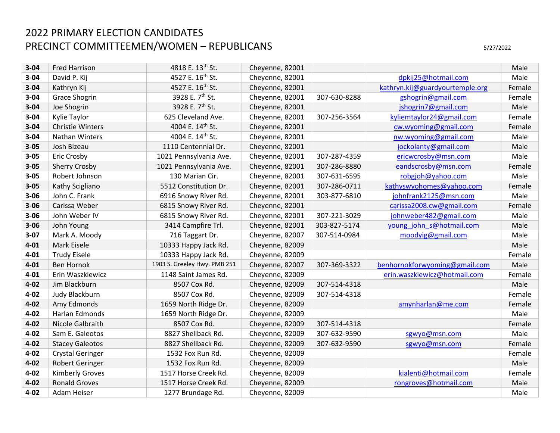| $3 - 04$ | <b>Fred Harrison</b>    | 4818 E. 13th St.             | Cheyenne, 82001 |              |                                 | Male   |
|----------|-------------------------|------------------------------|-----------------|--------------|---------------------------------|--------|
| $3 - 04$ | David P. Kij            | 4527 E. 16th St.             | Cheyenne, 82001 |              | dpkij25@hotmail.com             | Male   |
| $3 - 04$ | Kathryn Kij             | 4527 E. 16 <sup>th</sup> St. | Cheyenne, 82001 |              | kathryn.kij@guardyourtemple.org | Female |
| $3 - 04$ | <b>Grace Shogrin</b>    | 3928 E. 7 <sup>th</sup> St.  | Cheyenne, 82001 | 307-630-8288 | gshogrin@gmail.com              | Female |
| $3 - 04$ | Joe Shogrin             | 3928 E. 7 <sup>th</sup> St.  | Cheyenne, 82001 |              | jshogrin7@gmail.com             | Male   |
| $3 - 04$ | Kylie Taylor            | 625 Cleveland Ave.           | Cheyenne, 82001 | 307-256-3564 | kyliemtaylor24@gmail.com        | Female |
| $3 - 04$ | <b>Christie Winters</b> | 4004 E. 14th St.             | Cheyenne, 82001 |              | cw.wyoming@gmail.com            | Female |
| $3 - 04$ | <b>Nathan Winters</b>   | 4004 E. 14th St.             | Cheyenne, 82001 |              | nw.wyoming@gmail.com            | Male   |
| $3 - 05$ | Josh Bizeau             | 1110 Centennial Dr.          | Cheyenne, 82001 |              | jockolanty@gmail.com            | Male   |
| $3 - 05$ | Eric Crosby             | 1021 Pennsylvania Ave.       | Cheyenne, 82001 | 307-287-4359 | ericwcrosby@msn.com             | Male   |
| $3 - 05$ | <b>Sherry Crosby</b>    | 1021 Pennsylvania Ave.       | Cheyenne, 82001 | 307-286-8880 | eandscrosby@msn.com             | Female |
| $3 - 05$ | Robert Johnson          | 130 Marian Cir.              | Cheyenne, 82001 | 307-631-6595 | robgjoh@yahoo.com               | Male   |
| $3 - 05$ | Kathy Scigliano         | 5512 Constitution Dr.        | Cheyenne, 82001 | 307-286-0711 | kathyswyohomes@yahoo.com        | Female |
| $3 - 06$ | John C. Frank           | 6916 Snowy River Rd.         | Cheyenne, 82001 | 303-877-6810 | johnfrank2125@msn.com           | Male   |
| $3 - 06$ | Carissa Weber           | 6815 Snowy River Rd.         | Cheyenne, 82001 |              | carissa2008.cw@gmail.com        | Female |
| $3 - 06$ | John Weber IV           | 6815 Snowy River Rd.         | Cheyenne, 82001 | 307-221-3029 | johnweber482@gmail.com          | Male   |
| $3 - 06$ | John Young              | 3414 Campfire Trl.           | Cheyenne, 82001 | 303-827-5174 | young john s@hotmail.com        | Male   |
| $3 - 07$ | Mark A. Moody           | 716 Taggart Dr.              | Cheyenne, 82007 | 307-514-0984 | moodyig@gmail.com               | Male   |
| $4 - 01$ | Mark Eisele             | 10333 Happy Jack Rd.         | Cheyenne, 82009 |              |                                 | Male   |
| $4 - 01$ | <b>Trudy Eisele</b>     | 10333 Happy Jack Rd.         | Cheyenne, 82009 |              |                                 | Female |
| $4 - 01$ | <b>Ben Hornok</b>       | 1903 S. Greeley Hwy. PMB 251 | Cheyenne, 82007 | 307-369-3322 | benhornokforwyoming@gmail.com   | Male   |
| $4 - 01$ | Erin Waszkiewicz        | 1148 Saint James Rd.         | Cheyenne, 82009 |              | erin.waszkiewicz@hotmail.com    | Female |
| $4 - 02$ | Jim Blackburn           | 8507 Cox Rd.                 | Cheyenne, 82009 | 307-514-4318 |                                 | Male   |
| $4 - 02$ | Judy Blackburn          | 8507 Cox Rd.                 | Cheyenne, 82009 | 307-514-4318 |                                 | Female |
| $4 - 02$ | Amy Edmonds             | 1659 North Ridge Dr.         | Cheyenne, 82009 |              | amynharlan@me.com               | Female |
| $4 - 02$ | Harlan Edmonds          | 1659 North Ridge Dr.         | Cheyenne, 82009 |              |                                 | Male   |
| $4 - 02$ | Nicole Galbraith        | 8507 Cox Rd.                 | Cheyenne, 82009 | 307-514-4318 |                                 | Female |
| $4 - 02$ | Sam E. Galeotos         | 8827 Shellback Rd.           | Cheyenne, 82009 | 307-632-9590 | sgwyo@msn.com                   | Male   |
| $4 - 02$ | <b>Stacey Galeotos</b>  | 8827 Shellback Rd.           | Cheyenne, 82009 | 307-632-9590 | sgwyo@msn.com                   | Female |
| $4 - 02$ | <b>Crystal Geringer</b> | 1532 Fox Run Rd.             | Cheyenne, 82009 |              |                                 | Female |
| $4 - 02$ | Robert Geringer         | 1532 Fox Run Rd.             | Cheyenne, 82009 |              |                                 | Male   |
| $4 - 02$ | <b>Kimberly Groves</b>  | 1517 Horse Creek Rd.         | Cheyenne, 82009 |              | kialenti@hotmail.com            | Female |
| $4 - 02$ | <b>Ronald Groves</b>    | 1517 Horse Creek Rd.         | Cheyenne, 82009 |              | rongroves@hotmail.com           | Male   |
| $4 - 02$ | Adam Heiser             | 1277 Brundage Rd.            | Cheyenne, 82009 |              |                                 | Male   |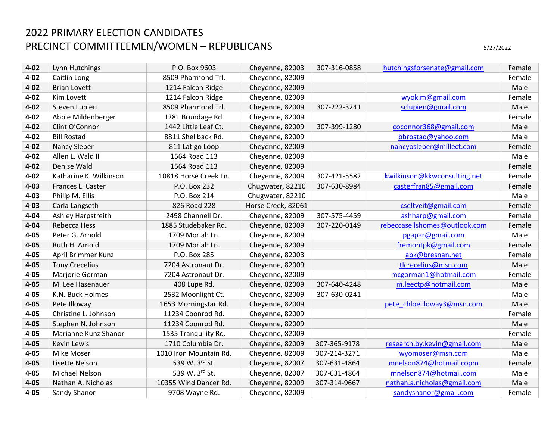| $4 - 02$ | Lynn Hutchings         | P.O. Box 9603          | Cheyenne, 82003    | 307-316-0858 | hutchingsforsenate@gmail.com  | Female |
|----------|------------------------|------------------------|--------------------|--------------|-------------------------------|--------|
| $4 - 02$ | Caitlin Long           | 8509 Pharmond Trl.     | Cheyenne, 82009    |              |                               | Female |
| $4 - 02$ | <b>Brian Lovett</b>    | 1214 Falcon Ridge      | Cheyenne, 82009    |              |                               | Male   |
| $4 - 02$ | Kim Lovett             | 1214 Falcon Ridge      | Cheyenne, 82009    |              | wyokim@gmail.com              | Female |
| $4 - 02$ | Steven Lupien          | 8509 Pharmond Trl.     | Cheyenne, 82009    | 307-222-3241 | sclupien@gmail.com            | Male   |
| $4 - 02$ | Abbie Mildenberger     | 1281 Brundage Rd.      | Cheyenne, 82009    |              |                               | Female |
| $4 - 02$ | Clint O'Connor         | 1442 Little Leaf Ct.   | Cheyenne, 82009    | 307-399-1280 | coconnor368@gmail.com         | Male   |
| $4 - 02$ | <b>Bill Rostad</b>     | 8811 Shellback Rd.     | Cheyenne, 82009    |              | bbrostad@yahoo.com            | Male   |
| $4 - 02$ | <b>Nancy Sleper</b>    | 811 Latigo Loop        | Cheyenne, 82009    |              | nancyosleper@millect.com      | Female |
| $4 - 02$ | Allen L. Wald II       | 1564 Road 113          | Cheyenne, 82009    |              |                               | Male   |
| $4 - 02$ | Denise Wald            | 1564 Road 113          | Cheyenne, 82009    |              |                               | Female |
| $4 - 02$ | Katharine K. Wilkinson | 10818 Horse Creek Ln.  | Cheyenne, 82009    | 307-421-5582 | kwilkinson@kkwconsulting.net  | Female |
| $4 - 03$ | Frances L. Caster      | P.O. Box 232           | Chugwater, 82210   | 307-630-8984 | casterfran85@gmail.com        | Female |
| $4 - 03$ | Philip M. Ellis        | P.O. Box 214           | Chugwater, 82210   |              |                               | Male   |
| $4 - 03$ | Carla Langseth         | 826 Road 228           | Horse Creek, 82061 |              | cseltveit@gmail.com           | Female |
| $4 - 04$ | Ashley Harpstreith     | 2498 Channell Dr.      | Cheyenne, 82009    | 307-575-4459 | ashharp@gmail.com             | Female |
| $4 - 04$ | Rebecca Hess           | 1885 Studebaker Rd.    | Cheyenne, 82009    | 307-220-0149 | rebeccasellshomes@outlook.com | Female |
| $4 - 05$ | Peter G. Arnold        | 1709 Moriah Ln.        | Cheyenne, 82009    |              | pgapar@gmail.com              | Male   |
| $4 - 05$ | Ruth H. Arnold         | 1709 Moriah Ln.        | Cheyenne, 82009    |              | fremontpk@gmail.com           | Female |
| $4 - 05$ | April Brimmer Kunz     | P.O. Box 285           | Cheyenne, 82003    |              | abk@bresnan.net               | Female |
| $4 - 05$ | <b>Tony Crecelius</b>  | 7204 Astronaut Dr.     | Cheyenne, 82009    |              | tlcrecelius@msn.com           | Male   |
| $4 - 05$ | Marjorie Gorman        | 7204 Astronaut Dr.     | Cheyenne, 82009    |              | mcgorman1@hotmail.com         | Female |
| $4 - 05$ | M. Lee Hasenauer       | 408 Lupe Rd.           | Cheyenne, 82009    | 307-640-4248 | m.leectp@hotmail.com          | Male   |
| $4 - 05$ | K.N. Buck Holmes       | 2532 Moonlight Ct.     | Cheyenne, 82009    | 307-630-0241 |                               | Male   |
| $4 - 05$ | Pete Illoway           | 1653 Morningstar Rd.   | Cheyenne, 82009    |              | pete chloeilloway3@msn.com    | Male   |
| $4 - 05$ | Christine L. Johnson   | 11234 Coonrod Rd.      | Cheyenne, 82009    |              |                               | Female |
| $4 - 05$ | Stephen N. Johnson     | 11234 Coonrod Rd.      | Cheyenne, 82009    |              |                               | Male   |
| $4 - 05$ | Marianne Kunz Shanor   | 1535 Tranquility Rd.   | Cheyenne, 82009    |              |                               | Female |
| $4 - 05$ | <b>Kevin Lewis</b>     | 1710 Columbia Dr.      | Cheyenne, 82009    | 307-365-9178 | research.by.kevin@gmail.com   | Male   |
| $4 - 05$ | Mike Moser             | 1010 Iron Mountain Rd. | Cheyenne, 82009    | 307-214-3271 | wyomoser@msn.com              | Male   |
| $4 - 05$ | Lisette Nelson         | 539 W. 3rd St.         | Cheyenne, 82007    | 307-631-4864 | mnelson874@hotmail.copm       | Female |
| $4 - 05$ | Michael Nelson         | 539 W. 3rd St.         | Cheyenne, 82007    | 307-631-4864 | mnelson874@hotmail.com        | Male   |
| $4 - 05$ | Nathan A. Nicholas     | 10355 Wind Dancer Rd.  | Cheyenne, 82009    | 307-314-9667 | nathan.a.nicholas@gmail.com   | Male   |
| $4 - 05$ | Sandy Shanor           | 9708 Wayne Rd.         | Cheyenne, 82009    |              | sandyshanor@gmail.com         | Female |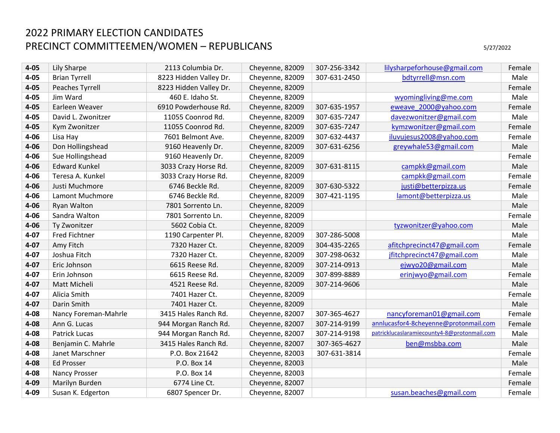| $4 - 05$ | Lily Sharpe          | 2113 Columbia Dr.      | Cheyenne, 82009 | 307-256-3342 | lilysharpeforhouse@gmail.com                | Female |
|----------|----------------------|------------------------|-----------------|--------------|---------------------------------------------|--------|
| $4 - 05$ | <b>Brian Tyrrell</b> | 8223 Hidden Valley Dr. | Cheyenne, 82009 | 307-631-2450 | bdtyrrell@msn.com                           | Male   |
| $4 - 05$ | Peaches Tyrrell      | 8223 Hidden Valley Dr. | Cheyenne, 82009 |              |                                             | Female |
| $4 - 05$ | Jim Ward             | 460 E. Idaho St.       | Cheyenne, 82009 |              | wyomingliving@me.com                        | Male   |
| $4 - 05$ | Earleen Weaver       | 6910 Powderhouse Rd.   | Cheyenne, 82009 | 307-635-1957 | eweave 2000@yahoo.com                       | Female |
| $4 - 05$ | David L. Zwonitzer   | 11055 Coonrod Rd.      | Cheyenne, 82009 | 307-635-7247 | davezwonitzer@gmail.com                     | Male   |
| $4 - 05$ | Kym Zwonitzer        | 11055 Coonrod Rd.      | Cheyenne, 82009 | 307-635-7247 | kymzwonitzer@gmail.com                      | Female |
| $4 - 06$ | Lisa Hay             | 7601 Belmont Ave.      | Cheyenne, 82009 | 307-632-4437 | iluvujesus2008@yahoo.com                    | Female |
| $4 - 06$ | Don Hollingshead     | 9160 Heavenly Dr.      | Cheyenne, 82009 | 307-631-6256 | greywhale53@gmail.com                       | Male   |
| $4 - 06$ | Sue Hollingshead     | 9160 Heavenly Dr.      | Cheyenne, 82009 |              |                                             | Female |
| $4 - 06$ | <b>Edward Kunkel</b> | 3033 Crazy Horse Rd.   | Cheyenne, 82009 | 307-631-8115 | campkk@gmail.com                            | Male   |
| $4 - 06$ | Teresa A. Kunkel     | 3033 Crazy Horse Rd.   | Cheyenne, 82009 |              | campkk@gmail.com                            | Female |
| $4 - 06$ | Justi Muchmore       | 6746 Beckle Rd.        | Cheyenne, 82009 | 307-630-5322 | justi@betterpizza.us                        | Female |
| $4 - 06$ | Lamont Muchmore      | 6746 Beckle Rd.        | Cheyenne, 82009 | 307-421-1195 | lamont@betterpizza.us                       | Male   |
| $4 - 06$ | Ryan Walton          | 7801 Sorrento Ln.      | Cheyenne, 82009 |              |                                             | Male   |
| $4 - 06$ | Sandra Walton        | 7801 Sorrento Ln.      | Cheyenne, 82009 |              |                                             | Female |
| $4 - 06$ | Ty Zwonitzer         | 5602 Cobia Ct.         | Cheyenne, 82009 |              | tyzwonitzer@yahoo.com                       | Male   |
| $4 - 07$ | <b>Fred Fichtner</b> | 1190 Carpenter Pl.     | Cheyenne, 82009 | 307-286-5008 |                                             | Male   |
| $4 - 07$ | Amy Fitch            | 7320 Hazer Ct.         | Cheyenne, 82009 | 304-435-2265 | afitchprecinct47@gmail.com                  | Female |
| $4 - 07$ | Joshua Fitch         | 7320 Hazer Ct.         | Cheyenne, 82009 | 307-298-0632 | jfitchprecinct47@gmail.com                  | Male   |
| $4 - 07$ | Eric Johnson         | 6615 Reese Rd.         | Cheyenne, 82009 | 307-214-0913 | ejwyo20@gmail.com                           | Male   |
| $4 - 07$ | Erin Johnson         | 6615 Reese Rd.         | Cheyenne, 82009 | 307-899-8889 | erinjwyo@gmail.com                          | Female |
| $4 - 07$ | Matt Micheli         | 4521 Reese Rd.         | Cheyenne, 82009 | 307-214-9606 |                                             | Male   |
| $4 - 07$ | Alicia Smith         | 7401 Hazer Ct.         | Cheyenne, 82009 |              |                                             | Female |
| $4 - 07$ | Darin Smith          | 7401 Hazer Ct.         | Cheyenne, 82009 |              |                                             | Male   |
| $4 - 08$ | Nancy Foreman-Mahrle | 3415 Hales Ranch Rd.   | Cheyenne, 82007 | 307-365-4627 | nancyforeman01@gmail.com                    | Female |
| $4 - 08$ | Ann G. Lucas         | 944 Morgan Ranch Rd.   | Cheyenne, 82007 | 307-214-9199 | annlucasfor4-8cheyenne@protonmail.com       | Female |
| $4 - 08$ | Patrick Lucas        | 944 Morgan Ranch Rd.   | Cheyenne, 82007 | 307-214-9198 | patricklucaslaramiecounty4-8@protonmail.com | Male   |
| $4 - 08$ | Benjamin C. Mahrle   | 3415 Hales Ranch Rd.   | Cheyenne, 82007 | 307-365-4627 | ben@msbba.com                               | Male   |
| $4 - 08$ | Janet Marschner      | P.O. Box 21642         | Cheyenne, 82003 | 307-631-3814 |                                             | Female |
| $4 - 08$ | <b>Ed Prosser</b>    | P.O. Box 14            | Cheyenne, 82003 |              |                                             | Male   |
| $4 - 08$ | Nancy Prosser        | P.O. Box 14            | Cheyenne, 82003 |              |                                             | Female |
| $4 - 09$ | Marilyn Burden       | 6774 Line Ct.          | Cheyenne, 82007 |              |                                             | Female |
| 4-09     | Susan K. Edgerton    | 6807 Spencer Dr.       | Cheyenne, 82007 |              | susan.beaches@gmail.com                     | Female |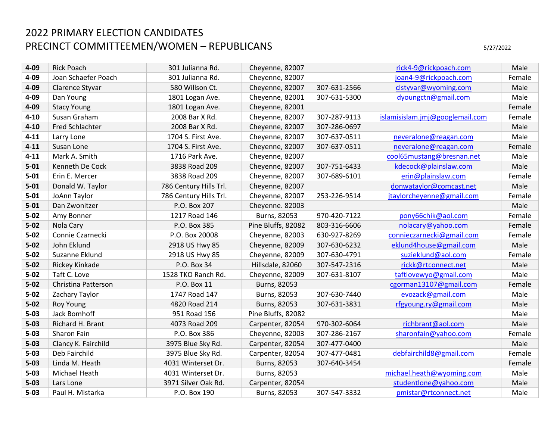| $4 - 09$ | <b>Rick Poach</b>   | 301 Julianna Rd.       | Cheyenne, 82007    |              | rick4-9@rickpoach.com           | Male   |
|----------|---------------------|------------------------|--------------------|--------------|---------------------------------|--------|
| 4-09     | Joan Schaefer Poach | 301 Julianna Rd.       | Cheyenne, 82007    |              | joan4-9@rickpoach.com           | Female |
| $4 - 09$ | Clarence Styvar     | 580 Willson Ct.        | Cheyenne, 82007    | 307-631-2566 | clstyvar@wyoming.com            | Male   |
| $4 - 09$ | Dan Young           | 1801 Logan Ave.        | Cheyenne, 82001    | 307-631-5300 | dyoungctn@gmail.com             | Male   |
| 4-09     | <b>Stacy Young</b>  | 1801 Logan Ave.        | Cheyenne, 82001    |              |                                 | Female |
| $4 - 10$ | Susan Graham        | 2008 Bar X Rd.         | Cheyenne, 82007    | 307-287-9113 | islamisislam.jmj@googlemail.com | Female |
| $4 - 10$ | Fred Schlachter     | 2008 Bar X Rd.         | Cheyenne, 82007    | 307-286-0697 |                                 | Male   |
| $4 - 11$ | Larry Lone          | 1704 S. First Ave.     | Cheyenne, 82007    | 307-637-0511 | neveralone@reagan.com           | Male   |
| $4 - 11$ | Susan Lone          | 1704 S. First Ave.     | Cheyenne, 82007    | 307-637-0511 | neveralone@reagan.com           | Female |
| $4 - 11$ | Mark A. Smith       | 1716 Park Ave.         | Cheyenne, 82007    |              | cool65mustang@bresnan.net       | Male   |
| $5 - 01$ | Kenneth De Cock     | 3838 Road 209          | Cheyenne, 82007    | 307-751-6433 | kdecock@plainslaw.com           | Male   |
| $5 - 01$ | Erin E. Mercer      | 3838 Road 209          | Cheyenne, 82007    | 307-689-6101 | erin@plainslaw.com              | Female |
| $5 - 01$ | Donald W. Taylor    | 786 Century Hills Trl. | Cheyenne, 82007    |              | donwataylor@comcast.net         | Male   |
| $5 - 01$ | JoAnn Taylor        | 786 Century Hills Trl. | Cheyenne, 82007    | 253-226-9514 | jtaylorcheyenne@gmail.com       | Female |
| $5 - 01$ | Dan Zwonitzer       | P.O. Box 207           | Cheyenne. 82003    |              |                                 | Male   |
| $5 - 02$ | Amy Bonner          | 1217 Road 146          | Burns, 82053       | 970-420-7122 | pony66chik@aol.com              | Female |
| $5 - 02$ | Nola Cary           | P.O. Box 385           | Pine Bluffs, 82082 | 803-316-6606 | nolacary@yahoo.com              | Female |
| $5 - 02$ | Connie Czarnecki    | P.O. Box 20008         | Cheyenne, 82003    | 630-927-8269 | connieczarnecki@gmail.com       | Female |
| $5 - 02$ | John Eklund         | 2918 US Hwy 85         | Cheyenne, 82009    | 307-630-6232 | eklund4house@gmail.com          | Male   |
| $5 - 02$ | Suzanne Eklund      | 2918 US Hwy 85         | Cheyenne, 82009    | 307-630-4791 | suzieklund@aol.com              | Female |
| $5 - 02$ | Rickey Kinkade      | P.O. Box 34            | Hillsdale, 82060   | 307-547-2316 | rickk@rtconnect.net             | Male   |
| $5 - 02$ | Taft C. Love        | 1528 TKO Ranch Rd.     | Cheyenne, 82009    | 307-631-8107 | taftlovewyo@gmail.com           | Male   |
| $5 - 02$ | Christina Patterson | P.O. Box 11            | Burns, 82053       |              | cgorman13107@gmail.com          | Female |
| $5 - 02$ | Zachary Taylor      | 1747 Road 147          | Burns, 82053       | 307-630-7440 | evozack@gmail.com               | Male   |
| $5 - 02$ | <b>Roy Young</b>    | 4820 Road 214          | Burns, 82053       | 307-631-3831 | rfgyoung.ry@gmail.com           | Male   |
| $5 - 03$ | Jack Bomhoff        | 951 Road 156           | Pine Bluffs, 82082 |              |                                 | Male   |
| $5 - 03$ | Richard H. Brant    | 4073 Road 209          | Carpenter, 82054   | 970-302-6064 | richbrant@aol.com               | Male   |
| $5 - 03$ | Sharon Fain         | P.O. Box 386           | Cheyenne, 82003    | 307-286-2167 | sharonfain@yahoo.com            | Female |
| $5 - 03$ | Clancy K. Fairchild | 3975 Blue Sky Rd.      | Carpenter, 82054   | 307-477-0400 |                                 | Male   |
| $5 - 03$ | Deb Fairchild       | 3975 Blue Sky Rd.      | Carpenter, 82054   | 307-477-0481 | debfairchild8@gmail.com         | Female |
| $5 - 03$ | Linda M. Heath      | 4031 Winterset Dr.     | Burns, 82053       | 307-640-3454 |                                 | Female |
| $5 - 03$ | Michael Heath       | 4031 Winterset Dr.     | Burns, 82053       |              | michael.heath@wyoming.com       | Male   |
| $5 - 03$ | Lars Lone           | 3971 Silver Oak Rd.    | Carpenter, 82054   |              | studentlone@yahoo.com           | Male   |
| $5 - 03$ | Paul H. Mistarka    | P.O. Box 190           | Burns, 82053       | 307-547-3332 | pmistar@rtconnect.net           | Male   |